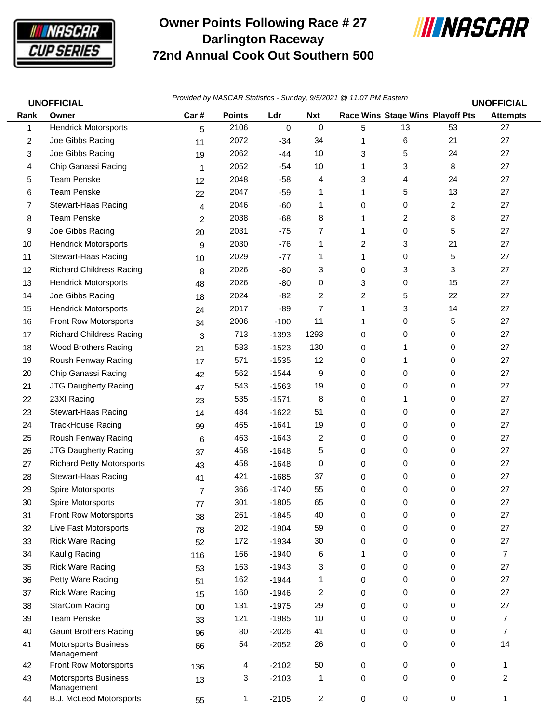

## **Owner Points Following Race # 27 Darlington Raceway 72nd Annual Cook Out Southern 500**



| <b>UNOFFICIAL</b> |                                           | Provided by NASCAR Statistics - Sunday, 9/5/2021 @ 11:07 PM Eastern<br><b>UNOFFICIAL</b> |               |             |                |              |           |                                  |                 |
|-------------------|-------------------------------------------|------------------------------------------------------------------------------------------|---------------|-------------|----------------|--------------|-----------|----------------------------------|-----------------|
| Rank              | Owner                                     | Car#                                                                                     | <b>Points</b> | Ldr         | <b>Nxt</b>     |              |           | Race Wins Stage Wins Playoff Pts | <b>Attempts</b> |
| 1                 | <b>Hendrick Motorsports</b>               | 5                                                                                        | 2106          | $\mathbf 0$ | $\mathbf 0$    | 5            | 13        | 53                               | 27              |
| 2                 | Joe Gibbs Racing                          | 11                                                                                       | 2072          | $-34$       | 34             | 1            | 6         | 21                               | 27              |
| 3                 | Joe Gibbs Racing                          | 19                                                                                       | 2062          | $-44$       | 10             | 3            | 5         | 24                               | 27              |
| 4                 | Chip Ganassi Racing                       | $\mathbf 1$                                                                              | 2052          | $-54$       | 10             | $\mathbf{1}$ | 3         | 8                                | 27              |
| 5                 | <b>Team Penske</b>                        | 12                                                                                       | 2048          | $-58$       | 4              | 3            | 4         | 24                               | 27              |
| 6                 | <b>Team Penske</b>                        | 22                                                                                       | 2047          | $-59$       | 1              | 1            | 5         | 13                               | 27              |
| 7                 | Stewart-Haas Racing                       | $\overline{4}$                                                                           | 2046          | $-60$       | 1              | 0            | 0         | 2                                | 27              |
| 8                 | <b>Team Penske</b>                        | 2                                                                                        | 2038          | $-68$       | 8              | 1            | 2         | 8                                | 27              |
| 9                 | Joe Gibbs Racing                          | 20                                                                                       | 2031          | $-75$       | 7              | $\mathbf{1}$ | 0         | 5                                | 27              |
| 10                | <b>Hendrick Motorsports</b>               | 9                                                                                        | 2030          | $-76$       | 1              | 2            | 3         | 21                               | 27              |
| 11                | Stewart-Haas Racing                       | 10                                                                                       | 2029          | $-77$       | 1              | 1            | 0         | 5                                | 27              |
| 12                | <b>Richard Childress Racing</b>           | 8                                                                                        | 2026          | -80         | 3              | 0            | 3         | 3                                | 27              |
| 13                | <b>Hendrick Motorsports</b>               | 48                                                                                       | 2026          | -80         | 0              | 3            | 0         | 15                               | 27              |
| 14                | Joe Gibbs Racing                          | 18                                                                                       | 2024          | $-82$       | 2              | 2            | 5         | 22                               | 27              |
| 15                | <b>Hendrick Motorsports</b>               | 24                                                                                       | 2017          | -89         | $\overline{7}$ | $\mathbf{1}$ | 3         | 14                               | 27              |
| 16                | Front Row Motorsports                     | 34                                                                                       | 2006          | $-100$      | 11             | 1            | 0         | 5                                | 27              |
| 17                | <b>Richard Childress Racing</b>           | 3                                                                                        | 713           | $-1393$     | 1293           | 0            | 0         | 0                                | 27              |
| 18                | <b>Wood Brothers Racing</b>               | 21                                                                                       | 583           | $-1523$     | 130            | 0            | 1         | 0                                | 27              |
| 19                | Roush Fenway Racing                       | 17                                                                                       | 571           | $-1535$     | 12             | 0            | 1         | 0                                | 27              |
| 20                | Chip Ganassi Racing                       | 42                                                                                       | 562           | $-1544$     | 9              | 0            | 0         | 0                                | 27              |
| 21                | JTG Daugherty Racing                      | 47                                                                                       | 543           | $-1563$     | 19             | 0            | 0         | 0                                | 27              |
| 22                | 23XI Racing                               | 23                                                                                       | 535           | $-1571$     | 8              | 0            | 1         | 0                                | 27              |
| 23                | Stewart-Haas Racing                       | 14                                                                                       | 484           | $-1622$     | 51             | 0            | 0         | 0                                | 27              |
| 24                | <b>TrackHouse Racing</b>                  | 99                                                                                       | 465           | $-1641$     | 19             | 0            | 0         | 0                                | 27              |
| 25                | Roush Fenway Racing                       | 6                                                                                        | 463           | $-1643$     | 2              | 0            | 0         | 0                                | 27              |
| 26                | <b>JTG Daugherty Racing</b>               | 37                                                                                       | 458           | $-1648$     | 5              | 0            | 0         | 0                                | 27              |
| 27                | <b>Richard Petty Motorsports</b>          | 43                                                                                       | 458           | $-1648$     | 0              | 0            | 0         | 0                                | 27              |
| 28                | Stewart-Haas Racing                       | 41                                                                                       | 421           | $-1685$     | 37             | 0            | 0         | 0                                | 27              |
| 29                | Spire Motorsports                         | $\overline{7}$                                                                           | 366           | $-1740$     | 55             | 0            | 0         | 0                                | 27              |
| 30                | Spire Motorsports                         | 77                                                                                       | 301           | $-1805$     | 65             | 0            | 0         | 0                                | 27              |
| 31                | Front Row Motorsports                     | 38                                                                                       | 261           | $-1845$     | 40             | 0            | 0         | 0                                | 27              |
| 32                | Live Fast Motorsports                     | 78                                                                                       | 202           | $-1904$     | 59             | 0            | 0         | 0                                | 27              |
| 33                | <b>Rick Ware Racing</b>                   | 52                                                                                       | 172           | $-1934$     | 30             | 0            | 0         | 0                                | 27              |
| 34                | Kaulig Racing                             | 116                                                                                      | 166           | $-1940$     | 6              | 1            | 0         | 0                                | $\overline{7}$  |
| 35                | <b>Rick Ware Racing</b>                   | 53                                                                                       | 163           | $-1943$     | 3              | 0            | 0         | 0                                | 27              |
| 36                | Petty Ware Racing                         | 51                                                                                       | 162           | $-1944$     | 1              | 0            | 0         | 0                                | 27              |
| 37                | <b>Rick Ware Racing</b>                   | 15                                                                                       | 160           | $-1946$     | 2              | 0            | 0         | 0                                | 27              |
| 38                | StarCom Racing                            | $00\,$                                                                                   | 131           | $-1975$     | 29             | 0            | 0         | 0                                | 27              |
| 39                | <b>Team Penske</b>                        | 33                                                                                       | 121           | $-1985$     | 10             | 0            | 0         | 0                                | 7               |
| 40                | <b>Gaunt Brothers Racing</b>              | 96                                                                                       | 80            | $-2026$     | 41             | 0            | 0         | 0                                | $\overline{7}$  |
| 41                | <b>Motorsports Business</b><br>Management | 66                                                                                       | 54            | $-2052$     | 26             | 0            | 0         | 0                                | 14              |
| 42                | Front Row Motorsports                     | 136                                                                                      | 4             | $-2102$     | 50             | 0            | 0         | 0                                | 1               |
| 43                | <b>Motorsports Business</b><br>Management | 13                                                                                       | 3             | $-2103$     | 1              | 0            | 0         | 0                                | 2               |
| 44                | B.J. McLeod Motorsports                   | 55                                                                                       | 1             | $-2105$     | 2              | 0            | $\pmb{0}$ | 0                                | 1               |